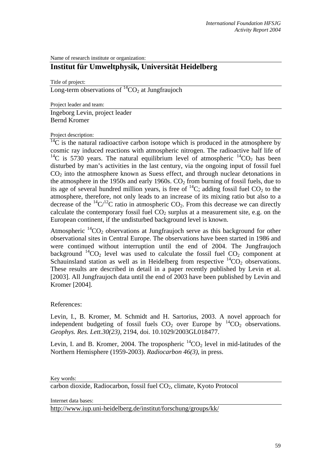Name of research institute or organization:

## **Institut für Umweltphysik, Universität Heidelberg**

Title of project:

Long-term observations of  ${}^{14}CO_2$  at Jungfraujoch

Project leader and team:

Ingeborg Levin, project leader Bernd Kromer

## Project description:

 $^{14}$ C is the natural radioactive carbon isotope which is produced in the atmosphere by cosmic ray induced reactions with atmospheric nitrogen. The radioactive half life of <sup>14</sup>C is 5730 years. The natural equilibrium level of atmospheric  $^{14}CO_2$  has been disturbed by man's activities in the last century, via the ongoing input of fossil fuel  $CO<sub>2</sub>$  into the atmosphere known as Suess effect, and through nuclear detonations in the atmosphere in the 1950s and early 1960s.  $CO<sub>2</sub>$  from burning of fossil fuels, due to its age of several hundred million years, is free of  $^{14}C$ ; adding fossil fuel  $CO<sub>2</sub>$  to the atmosphere, therefore, not only leads to an increase of its mixing ratio but also to a decrease of the  ${}^{14}C/{}^{12}C$  ratio in atmospheric CO<sub>2</sub>. From this decrease we can directly calculate the contemporary fossil fuel  $CO<sub>2</sub>$  surplus at a measurement site, e.g. on the European continent, if the undisturbed background level is known.

Atmospheric  ${}^{14}CO_2$  observations at Jungfraujoch serve as this background for other observational sites in Central Europe. The observations have been started in 1986 and were continued without interruption until the end of 2004. The Jungfraujoch background  $^{14}CO_2$  level was used to calculate the fossil fuel CO<sub>2</sub> component at Schauinsland station as well as in Heidelberg from respective  ${}^{14}CO_2$  observations. These results are described in detail in a paper recently published by Levin et al. [2003]. All Jungfraujoch data until the end of 2003 have been published by Levin and Kromer [2004].

References:

Levin, I., B. Kromer, M. Schmidt and H. Sartorius, 2003. A novel approach for independent budgeting of fossil fuels  $CO<sub>2</sub>$  over Europe by  ${}^{14}CO<sub>2</sub>$  observations. *Geophys. Res. Lett.30(23)*, 2194, doi. 10.1029/2003GL018477.

Levin, I. and B. Kromer, 2004. The tropospheric  ${}^{14}CO_2$  level in mid-latitudes of the Northern Hemisphere (1959-2003). *Radiocarbon 46(3)*, in press.

 $\overline{\text{carbon dioxide}}$ , Radiocarbon, fossil fuel  $\text{CO}_2$ , climate, Kyoto Protocol

Internet data bases:

[http://www.iup.uni-heidelberg.de/institut/forschung/groups/kk/](http://kspc4.unibe.ch/nm)

Key words: